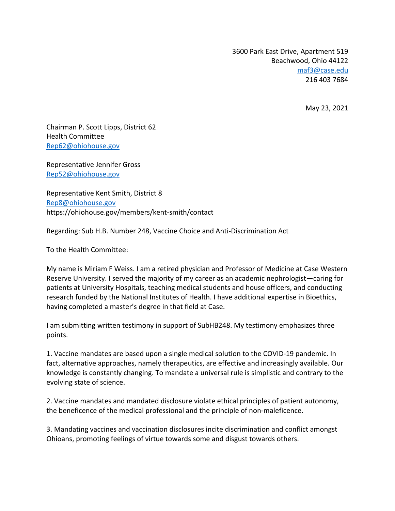3600 Park East Drive, Apartment 519 Beachwood, Ohio 44122 maf3@case.edu 216 403 7684

May 23, 2021

Chairman P. Scott Lipps, District 62 Health Committee Rep62@ohiohouse.gov

Representative Jennifer Gross Rep52@ohiohouse.gov

Representative Kent Smith, District 8 Rep8@ohiohouse.gov https://ohiohouse.gov/members/kent-smith/contact

Regarding: Sub H.B. Number 248, Vaccine Choice and Anti-Discrimination Act

To the Health Committee:

My name is Miriam F Weiss. I am a retired physician and Professor of Medicine at Case Western Reserve University. I served the majority of my career as an academic nephrologist—caring for patients at University Hospitals, teaching medical students and house officers, and conducting research funded by the National Institutes of Health. I have additional expertise in Bioethics, having completed a master's degree in that field at Case.

I am submitting written testimony in support of SubHB248. My testimony emphasizes three points.

1. Vaccine mandates are based upon a single medical solution to the COVID-19 pandemic. In fact, alternative approaches, namely therapeutics, are effective and increasingly available. Our knowledge is constantly changing. To mandate a universal rule is simplistic and contrary to the evolving state of science.

2. Vaccine mandates and mandated disclosure violate ethical principles of patient autonomy, the beneficence of the medical professional and the principle of non-maleficence.

3. Mandating vaccines and vaccination disclosures incite discrimination and conflict amongst Ohioans, promoting feelings of virtue towards some and disgust towards others.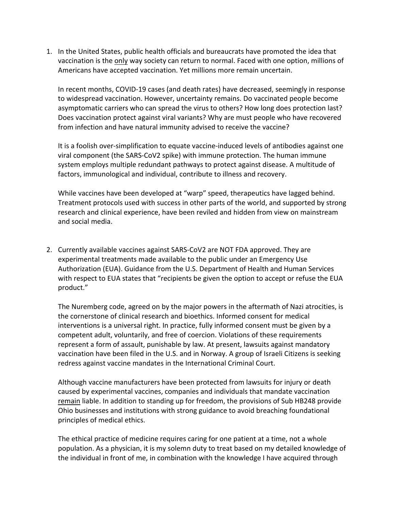1. In the United States, public health officials and bureaucrats have promoted the idea that vaccination is the only way society can return to normal. Faced with one option, millions of Americans have accepted vaccination. Yet millions more remain uncertain.

In recent months, COVID-19 cases (and death rates) have decreased, seemingly in response to widespread vaccination. However, uncertainty remains. Do vaccinated people become asymptomatic carriers who can spread the virus to others? How long does protection last? Does vaccination protect against viral variants? Why are must people who have recovered from infection and have natural immunity advised to receive the vaccine?

It is a foolish over-simplification to equate vaccine-induced levels of antibodies against one viral component (the SARS-CoV2 spike) with immune protection. The human immune system employs multiple redundant pathways to protect against disease. A multitude of factors, immunological and individual, contribute to illness and recovery.

While vaccines have been developed at "warp" speed, therapeutics have lagged behind. Treatment protocols used with success in other parts of the world, and supported by strong research and clinical experience, have been reviled and hidden from view on mainstream and social media.

2. Currently available vaccines against SARS-CoV2 are NOT FDA approved. They are experimental treatments made available to the public under an Emergency Use Authorization (EUA). Guidance from the U.S. Department of Health and Human Services with respect to EUA states that "recipients be given the option to accept or refuse the EUA product."

The Nuremberg code, agreed on by the major powers in the aftermath of Nazi atrocities, is the cornerstone of clinical research and bioethics. Informed consent for medical interventions is a universal right. In practice, fully informed consent must be given by a competent adult, voluntarily, and free of coercion. Violations of these requirements represent a form of assault, punishable by law. At present, lawsuits against mandatory vaccination have been filed in the U.S. and in Norway. A group of Israeli Citizens is seeking redress against vaccine mandates in the International Criminal Court.

Although vaccine manufacturers have been protected from lawsuits for injury or death caused by experimental vaccines, companies and individuals that mandate vaccination remain liable. In addition to standing up for freedom, the provisions of Sub HB248 provide Ohio businesses and institutions with strong guidance to avoid breaching foundational principles of medical ethics.

The ethical practice of medicine requires caring for one patient at a time, not a whole population. As a physician, it is my solemn duty to treat based on my detailed knowledge of the individual in front of me, in combination with the knowledge I have acquired through